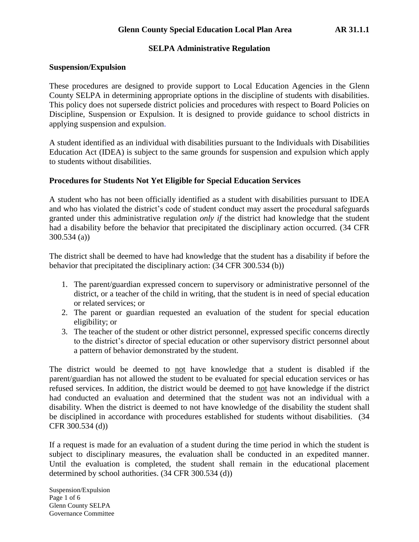### **Suspension/Expulsion**

These procedures are designed to provide support to Local Education Agencies in the Glenn County SELPA in determining appropriate options in the discipline of students with disabilities. This policy does not supersede district policies and procedures with respect to Board Policies on Discipline, Suspension or Expulsion. It is designed to provide guidance to school districts in applying suspension and expulsion.

A student identified as an individual with disabilities pursuant to the Individuals with Disabilities Education Act (IDEA) is subject to the same grounds for suspension and expulsion which apply to students without disabilities.

### **Procedures for Students Not Yet Eligible for Special Education Services**

A student who has not been officially identified as a student with disabilities pursuant to IDEA and who has violated the district's code of student conduct may assert the procedural safeguards granted under this administrative regulation *only if* the district had knowledge that the student had a disability before the behavior that precipitated the disciplinary action occurred. (34 CFR 300.534 (a))

The district shall be deemed to have had knowledge that the student has a disability if before the behavior that precipitated the disciplinary action: (34 CFR 300.534 (b))

- 1. The parent/guardian expressed concern to supervisory or administrative personnel of the district, or a teacher of the child in writing, that the student is in need of special education or related services; or
- 2. The parent or guardian requested an evaluation of the student for special education eligibility; or
- 3. The teacher of the student or other district personnel, expressed specific concerns directly to the district's director of special education or other supervisory district personnel about a pattern of behavior demonstrated by the student.

The district would be deemed to not have knowledge that a student is disabled if the parent/guardian has not allowed the student to be evaluated for special education services or has refused services. In addition, the district would be deemed to not have knowledge if the district had conducted an evaluation and determined that the student was not an individual with a disability. When the district is deemed to not have knowledge of the disability the student shall be disciplined in accordance with procedures established for students without disabilities. (34 CFR 300.534 (d))

If a request is made for an evaluation of a student during the time period in which the student is subject to disciplinary measures, the evaluation shall be conducted in an expedited manner. Until the evaluation is completed, the student shall remain in the educational placement determined by school authorities. (34 CFR 300.534 (d))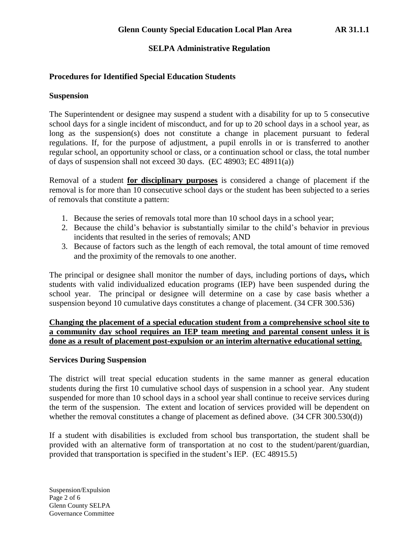# **Procedures for Identified Special Education Students**

## **Suspension**

The Superintendent or designee may suspend a student with a disability for up to 5 consecutive school days for a single incident of misconduct, and for up to 20 school days in a school year, as long as the suspension(s) does not constitute a change in placement pursuant to federal regulations. If, for the purpose of adjustment, a pupil enrolls in or is transferred to another regular school, an opportunity school or class, or a continuation school or class, the total number of days of suspension shall not exceed 30 days. (EC 48903; EC 48911(a))

Removal of a student **for disciplinary purposes** is considered a change of placement if the removal is for more than 10 consecutive school days or the student has been subjected to a series of removals that constitute a pattern:

- 1. Because the series of removals total more than 10 school days in a school year;
- 2. Because the child's behavior is substantially similar to the child's behavior in previous incidents that resulted in the series of removals; AND
- 3. Because of factors such as the length of each removal, the total amount of time removed and the proximity of the removals to one another.

The principal or designee shall monitor the number of days, including portions of days**,** which students with valid individualized education programs (IEP) have been suspended during the school year. The principal or designee will determine on a case by case basis whether a suspension beyond 10 cumulative days constitutes a change of placement. (34 CFR 300.536)

**Changing the placement of a special education student from a comprehensive school site to a community day school requires an IEP team meeting and parental consent unless it is done as a result of placement post-expulsion or an interim alternative educational setting.** 

# **Services During Suspension**

The district will treat special education students in the same manner as general education students during the first 10 cumulative school days of suspension in a school year. Any student suspended for more than 10 school days in a school year shall continue to receive services during the term of the suspension. The extent and location of services provided will be dependent on whether the removal constitutes a change of placement as defined above. (34 CFR 300.530(d))

If a student with disabilities is excluded from school bus transportation, the student shall be provided with an alternative form of transportation at no cost to the student/parent/guardian, provided that transportation is specified in the student's IEP. (EC 48915.5)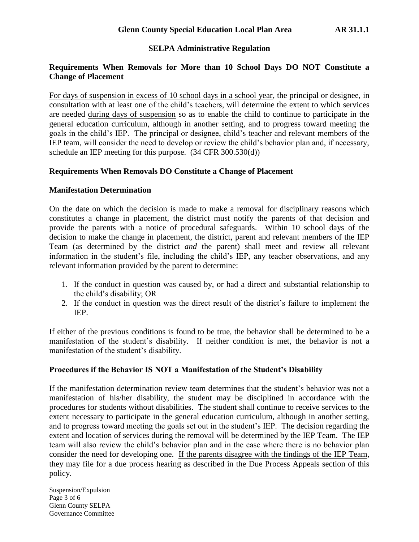# **Requirements When Removals for More than 10 School Days DO NOT Constitute a Change of Placement**

For days of suspension in excess of 10 school days in a school year, the principal or designee, in consultation with at least one of the child's teachers, will determine the extent to which services are needed during days of suspension so as to enable the child to continue to participate in the general education curriculum, although in another setting, and to progress toward meeting the goals in the child's IEP. The principal or designee, child's teacher and relevant members of the IEP team, will consider the need to develop or review the child's behavior plan and, if necessary, schedule an IEP meeting for this purpose. (34 CFR 300.530(d))

## **Requirements When Removals DO Constitute a Change of Placement**

## **Manifestation Determination**

On the date on which the decision is made to make a removal for disciplinary reasons which constitutes a change in placement, the district must notify the parents of that decision and provide the parents with a notice of procedural safeguards. Within 10 school days of the decision to make the change in placement, the district, parent and relevant members of the IEP Team (as determined by the district *and* the parent) shall meet and review all relevant information in the student's file, including the child's IEP, any teacher observations, and any relevant information provided by the parent to determine:

- 1. If the conduct in question was caused by, or had a direct and substantial relationship to the child's disability; OR
- 2. If the conduct in question was the direct result of the district's failure to implement the IEP.

If either of the previous conditions is found to be true, the behavior shall be determined to be a manifestation of the student's disability. If neither condition is met, the behavior is not a manifestation of the student's disability.

# **Procedures if the Behavior IS NOT a Manifestation of the Student's Disability**

If the manifestation determination review team determines that the student's behavior was not a manifestation of his/her disability, the student may be disciplined in accordance with the procedures for students without disabilities. The student shall continue to receive services to the extent necessary to participate in the general education curriculum, although in another setting, and to progress toward meeting the goals set out in the student's IEP. The decision regarding the extent and location of services during the removal will be determined by the IEP Team. The IEP team will also review the child's behavior plan and in the case where there is no behavior plan consider the need for developing one. If the parents disagree with the findings of the IEP Team, they may file for a due process hearing as described in the Due Process Appeals section of this policy.

Suspension/Expulsion Page 3 of 6 Glenn County SELPA Governance Committee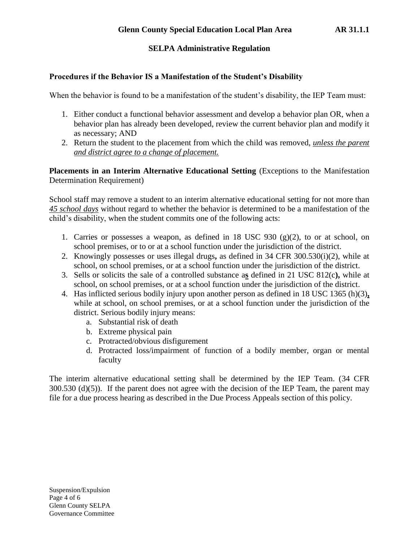## **Procedures if the Behavior IS a Manifestation of the Student's Disability**

When the behavior is found to be a manifestation of the student's disability, the IEP Team must:

- 1. Either conduct a functional behavior assessment and develop a behavior plan OR, when a behavior plan has already been developed, review the current behavior plan and modify it as necessary; AND
- 2. Return the student to the placement from which the child was removed, *unless the parent and district agree to a change of placement.*

**Placements in an Interim Alternative Educational Setting** (Exceptions to the Manifestation Determination Requirement)

School staff may remove a student to an interim alternative educational setting for not more than *45 school days* without regard to whether the behavior is determined to be a manifestation of the child's disability, when the student commits one of the following acts:

- 1. Carries or possesses a weapon, as defined in  $18 \text{ USC } 930 \text{ (g)}(2)$ , to or at school, on school premises, or to or at a school function under the jurisdiction of the district.
- 2. Knowingly possesses or uses illegal drugs**,** as defined in 34 CFR 300.530(i)(2), while at school, on school premises, or at a school function under the jurisdiction of the district.
- 3. Sells or solicits the sale of a controlled substance a**s** defined in 21 USC 812(c**),** while at school, on school premises, or at a school function under the jurisdiction of the district.
- 4. Has inflicted serious bodily injury upon another person as defined in 18 USC 1365 (h)(3)**,**  while at school, on school premises, or at a school function under the jurisdiction of the district. Serious bodily injury means:
	- a. Substantial risk of death
	- b. Extreme physical pain
	- c. Protracted/obvious disfigurement
	- d. Protracted loss/impairment of function of a bodily member, organ or mental faculty

The interim alternative educational setting shall be determined by the IEP Team. (34 CFR 300.530 (d)(5)). If the parent does not agree with the decision of the IEP Team, the parent may file for a due process hearing as described in the Due Process Appeals section of this policy.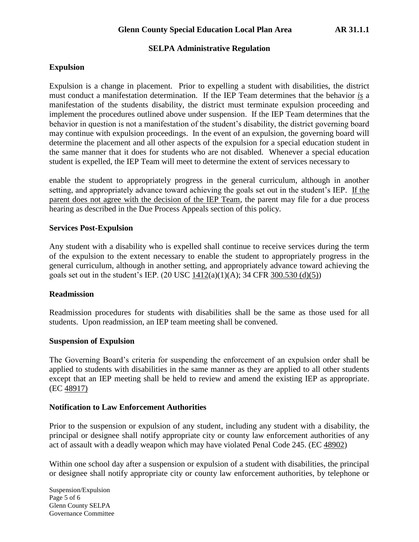## **Expulsion**

Expulsion is a change in placement. Prior to expelling a student with disabilities, the district must conduct a manifestation determination. If the IEP Team determines that the behavior *is* a manifestation of the students disability, the district must terminate expulsion proceeding and implement the procedures outlined above under suspension. If the IEP Team determines that the behavior in question is not a manifestation of the student's disability, the district governing board may continue with expulsion proceedings. In the event of an expulsion, the governing board will determine the placement and all other aspects of the expulsion for a special education student in the same manner that it does for students who are not disabled. Whenever a special education student is expelled, the IEP Team will meet to determine the extent of services necessary to

enable the student to appropriately progress in the general curriculum, although in another setting, and appropriately advance toward achieving the goals set out in the student's IEP. If the parent does not agree with the decision of the IEP Team, the parent may file for a due process hearing as described in the Due Process Appeals section of this policy.

### **Services Post-Expulsion**

Any student with a disability who is expelled shall continue to receive services during the term of the expulsion to the extent necessary to enable the student to appropriately progress in the general curriculum, although in another setting, and appropriately advance toward achieving the goals set out in the student's IEP. (20 USC 1412(a)(1)(A); 34 CFR 300.530 (d)(5))

### **Readmission**

Readmission procedures for students with disabilities shall be the same as those used for all students. Upon readmission, an IEP team meeting shall be convened.

### **Suspension of Expulsion**

The Governing Board's criteria for suspending the enforcement of an expulsion order shall be applied to students with disabilities in the same manner as they are applied to all other students except that an IEP meeting shall be held to review and amend the existing IEP as appropriate. (EC 48917)

### **Notification to Law Enforcement Authorities**

Prior to the suspension or expulsion of any student, including any student with a disability, the principal or designee shall notify appropriate city or county law enforcement authorities of any act of assault with a deadly weapon which may have violated Penal Code 245. (EC 48902)

Within one school day after a suspension or expulsion of a student with disabilities, the principal or designee shall notify appropriate city or county law enforcement authorities, by telephone or

Suspension/Expulsion Page 5 of 6 Glenn County SELPA Governance Committee